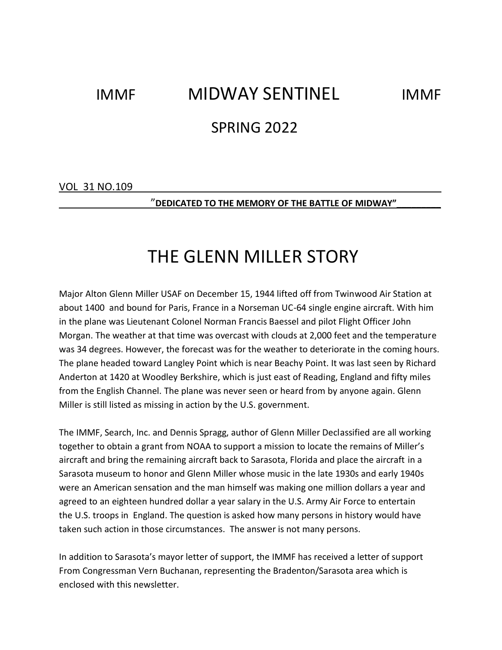# IMMF MIDWAY SENTINEL IMMF

### SPRING 2022

VOL 31 NO.109

\_\_\_\_\_\_\_\_\_\_\_\_\_\_\_\_"**DEDICATED TO THE MEMORY OF THE BATTLE OF MIDWAY"\_\_\_\_\_\_\_\_\_** 

## THE GLENN MILLER STORY

Major Alton Glenn Miller USAF on December 15, 1944 lifted off from Twinwood Air Station at about 1400 and bound for Paris, France in a Norseman UC-64 single engine aircraft. With him in the plane was Lieutenant Colonel Norman Francis Baessel and pilot Flight Officer John Morgan. The weather at that time was overcast with clouds at 2,000 feet and the temperature was 34 degrees. However, the forecast was for the weather to deteriorate in the coming hours. The plane headed toward Langley Point which is near Beachy Point. It was last seen by Richard Anderton at 1420 at Woodley Berkshire, which is just east of Reading, England and fifty miles from the English Channel. The plane was never seen or heard from by anyone again. Glenn Miller is still listed as missing in action by the U.S. government.

The IMMF, Search, Inc. and Dennis Spragg, author of Glenn Miller Declassified are all working together to obtain a grant from NOAA to support a mission to locate the remains of Miller's aircraft and bring the remaining aircraft back to Sarasota, Florida and place the aircraft in a Sarasota museum to honor and Glenn Miller whose music in the late 1930s and early 1940s were an American sensation and the man himself was making one million dollars a year and agreed to an eighteen hundred dollar a year salary in the U.S. Army Air Force to entertain the U.S. troops in England. The question is asked how many persons in history would have taken such action in those circumstances. The answer is not many persons.

In addition to Sarasota's mayor letter of support, the IMMF has received a letter of support From Congressman Vern Buchanan, representing the Bradenton/Sarasota area which is enclosed with this newsletter.